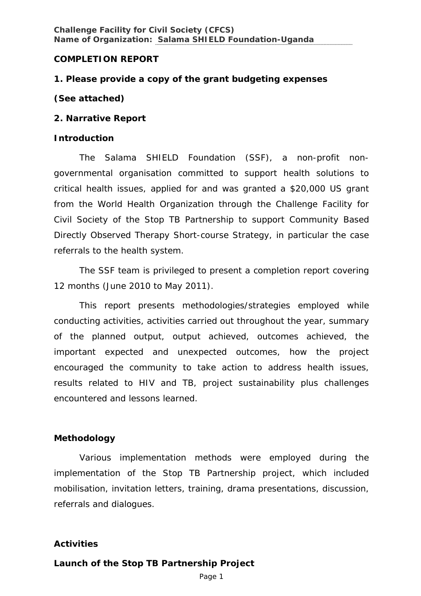## **COMPLETION REPORT**

# **1. Please provide a copy of the grant budgeting expenses**

## *(See attached)*

## **2. Narrative Report**

## **Introduction**

The *Salama* SHIELD Foundation (SSF), a non-profit nongovernmental organisation committed to support health solutions to critical health issues, applied for and was granted a \$20,000 US grant from the World Health Organization through the Challenge Facility for Civil Society of the Stop TB Partnership to support Community Based Directly Observed Therapy Short-course Strategy, in particular the case referrals to the health system.

The SSF team is privileged to present a completion report covering 12 months (June 2010 to May 2011).

This report presents methodologies/strategies employed while conducting activities, activities carried out throughout the year, summary of the planned output, output achieved, outcomes achieved, the important expected and unexpected outcomes, how the project encouraged the community to take action to address health issues, results related to HIV and TB, project sustainability plus challenges encountered and lessons learned.

# **Methodology**

Various implementation methods were employed during the implementation of the Stop TB Partnership project, which included mobilisation, invitation letters, training, drama presentations, discussion, referrals and dialogues.

# **Activities**

# **Launch of the Stop TB Partnership Project**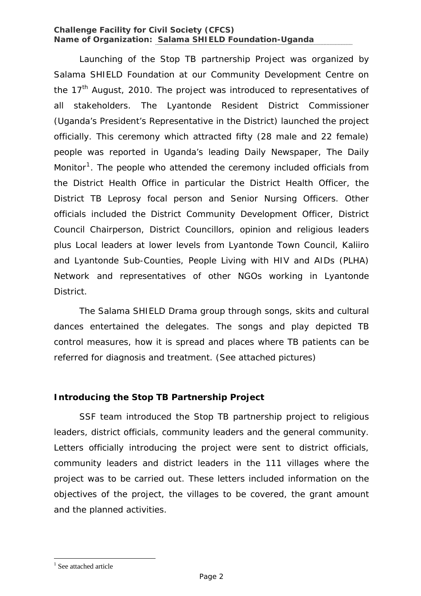Launching of the Stop TB partnership Project was organized by *Salama* SHIELD Foundation at our Community Development Centre on the 17<sup>th</sup> August, 2010. The project was introduced to representatives of all stakeholders. The Lyantonde Resident District Commissioner (Uganda's President's Representative in the District) launched the project officially. This ceremony which attracted fifty (28 male and 22 female) people was reported in Uganda's leading Daily Newspaper, *The Daily Monitor[1](#page-1-0)*. The people who attended the ceremony included officials from the District Health Office in particular the District Health Officer, the District TB Leprosy focal person and Senior Nursing Officers. Other officials included the District Community Development Officer, District Council Chairperson, District Councillors, opinion and religious leaders plus Local leaders at lower levels from Lyantonde Town Council, Kaliiro and Lyantonde Sub-Counties, People Living with HIV and AIDs (PLHA) Network and representatives of other NGOs working in Lyantonde District.

The *Salama* SHIELD Drama group through songs, skits and cultural dances entertained the delegates. The songs and play depicted TB control measures, how it is spread and places where TB patients can be referred for diagnosis and treatment. (See attached pictures)

# **Introducing the Stop TB Partnership Project**

SSF team introduced the Stop TB partnership project to religious leaders, district officials, community leaders and the general community. Letters officially introducing the project were sent to district officials, community leaders and district leaders in the 111 villages where the project was to be carried out. These letters included information on the objectives of the project, the villages to be covered, the grant amount and the planned activities.

<span id="page-1-0"></span><sup>&</sup>lt;sup>1</sup> See attached article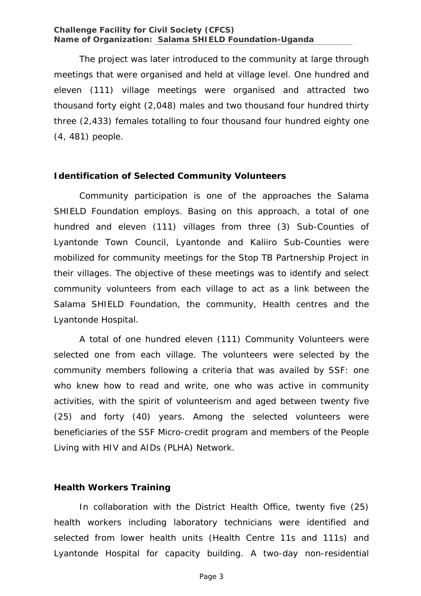The project was later introduced to the community at large through meetings that were organised and held at village level. One hundred and eleven (111) village meetings were organised and attracted two thousand forty eight (2,048) males and two thousand four hundred thirty three (2,433) females totalling to four thousand four hundred eighty one (4, 481) people.

## **Identification of Selected Community Volunteers**

Community participation is one of the approaches the *Salama* SHIELD Foundation employs. Basing on this approach, a total of one hundred and eleven (111) villages from three (3) Sub-Counties of Lyantonde Town Council, Lyantonde and Kaliiro Sub-Counties were mobilized for community meetings for the Stop TB Partnership Project in their villages. The objective of these meetings was to identify and select community volunteers from each village to act as a link between the *Salama* SHIELD Foundation, the community, Health centres and the Lyantonde Hospital.

A total of one hundred eleven (111) Community Volunteers were selected one from each village. The volunteers were selected by the community members following a criteria that was availed by SSF: one who knew how to read and write, one who was active in community activities, with the spirit of volunteerism and aged between twenty five (25) and forty (40) years. Among the selected volunteers were beneficiaries of the SSF Micro-credit program and members of the People Living with HIV and AIDs (PLHA) Network.

### **Health Workers Training**

In collaboration with the District Health Office, twenty five (25) health workers including laboratory technicians were identified and selected from lower health units (Health Centre 11s and 111s) and Lyantonde Hospital for capacity building. A two-day non-residential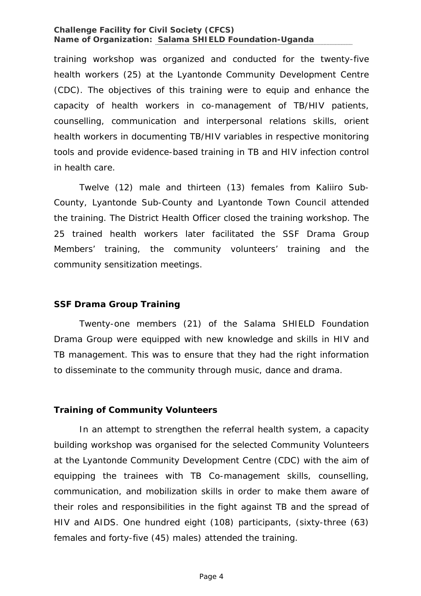training workshop was organized and conducted for the twenty-five health workers (25) at the Lyantonde Community Development Centre (CDC). The objectives of this training were to equip and enhance the capacity of health workers in co-management of TB/HIV patients, counselling, communication and interpersonal relations skills, orient health workers in documenting TB/HIV variables in respective monitoring tools and provide evidence-based training in TB and HIV infection control in health care.

Twelve (12) male and thirteen (13) females from Kaliiro Sub-County, Lyantonde Sub-County and Lyantonde Town Council attended the training. The District Health Officer closed the training workshop. The 25 trained health workers later facilitated the SSF Drama Group Members' training, the community volunteers' training and the community sensitization meetings.

### **SSF Drama Group Training**

Twenty-one members (21) of the *Salama* SHIELD Foundation Drama Group were equipped with new knowledge and skills in HIV and TB management. This was to ensure that they had the right information to disseminate to the community through music, dance and drama.

# **Training of Community Volunteers**

In an attempt to strengthen the referral health system, a capacity building workshop was organised for the selected Community Volunteers at the Lyantonde Community Development Centre (CDC) with the aim of equipping the trainees with TB Co-management skills, counselling, communication, and mobilization skills in order to make them aware of their roles and responsibilities in the fight against TB and the spread of HIV and AIDS. One hundred eight (108) participants, (sixty-three (63) females and forty-five (45) males) attended the training.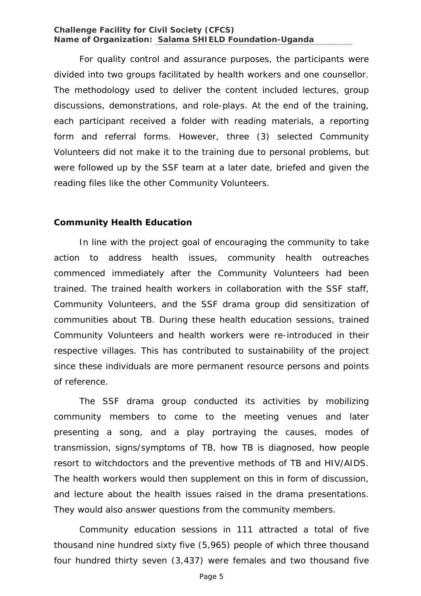For quality control and assurance purposes, the participants were divided into two groups facilitated by health workers and one counsellor. The methodology used to deliver the content included lectures, group discussions, demonstrations, and role-plays. At the end of the training, each participant received a folder with reading materials, a reporting form and referral forms. However, three (3) selected Community Volunteers did not make it to the training due to personal problems, but were followed up by the SSF team at a later date, briefed and given the reading files like the other Community Volunteers.

### **Community Health Education**

In line with the project goal of encouraging the community to take action to address health issues, community health outreaches commenced immediately after the Community Volunteers had been trained. The trained health workers in collaboration with the SSF staff, Community Volunteers, and the SSF drama group did sensitization of communities about TB. During these health education sessions, trained Community Volunteers and health workers were re-introduced in their respective villages. This has contributed to sustainability of the project since these individuals are more permanent resource persons and points of reference.

The SSF drama group conducted its activities by mobilizing community members to come to the meeting venues and later presenting a song, and a play portraying the causes, modes of transmission, signs/symptoms of TB, how TB is diagnosed, how people resort to witchdoctors and the preventive methods of TB and HIV/AIDS. The health workers would then supplement on this in form of discussion, and lecture about the health issues raised in the drama presentations. They would also answer questions from the community members.

Community education sessions in 111 attracted a total of five thousand nine hundred sixty five (5,965) people of which three thousand four hundred thirty seven (3,437) were females and two thousand five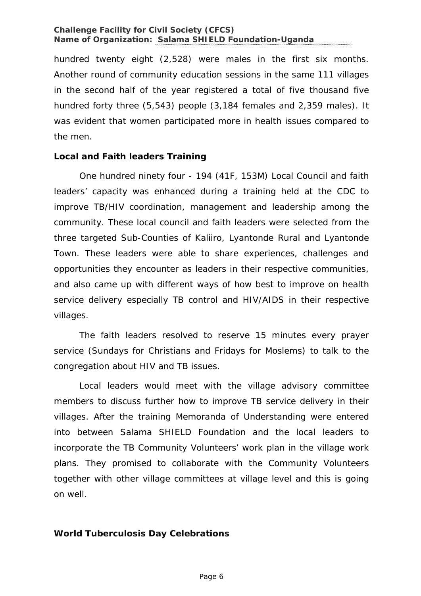hundred twenty eight (2,528) were males in the first six months. Another round of community education sessions in the same 111 villages in the second half of the year registered a total of five thousand five hundred forty three (5,543) people (3,184 females and 2,359 males). It was evident that women participated more in health issues compared to the men.

## **Local and Faith leaders Training**

One hundred ninety four - 194 (41F, 153M) Local Council and faith leaders' capacity was enhanced during a training held at the CDC to improve TB/HIV coordination, management and leadership among the community. These local council and faith leaders were selected from the three targeted Sub-Counties of Kaliiro, Lyantonde Rural and Lyantonde Town. These leaders were able to share experiences, challenges and opportunities they encounter as leaders in their respective communities, and also came up with different ways of how best to improve on health service delivery especially TB control and HIV/AIDS in their respective villages.

The faith leaders resolved to reserve 15 minutes every prayer service (Sundays for Christians and Fridays for Moslems) to talk to the congregation about HIV and TB issues.

Local leaders would meet with the village advisory committee members to discuss further how to improve TB service delivery in their villages. After the training Memoranda of Understanding were entered into between *Salama* SHIELD Foundation and the local leaders to incorporate the TB Community Volunteers' work plan in the village work plans. They promised to collaborate with the Community Volunteers together with other village committees at village level and this is going on well.

# **World Tuberculosis Day Celebrations**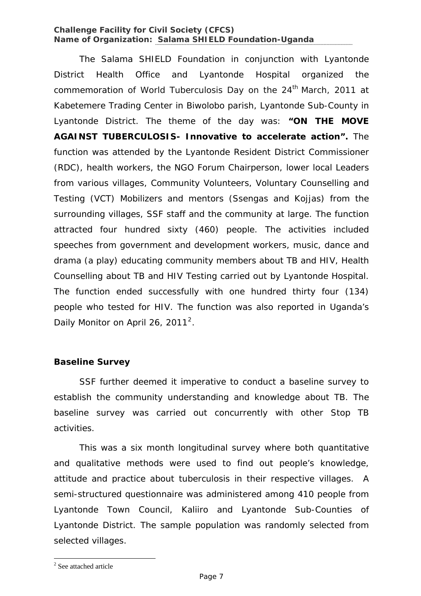The Salama SHIELD Foundation in conjunction with Lyantonde District Health Office and Lyantonde Hospital organized the commemoration of World Tuberculosis Day on the 24<sup>th</sup> March, 2011 at Kabetemere Trading Center in Biwolobo parish, Lyantonde Sub-County in Lyantonde District. The theme of the day was: **"ON THE MOVE AGAINST TUBERCULOSIS- Innovative to accelerate action".** The function was attended by the Lyantonde Resident District Commissioner (RDC), health workers, the NGO Forum Chairperson, lower local Leaders from various villages, Community Volunteers, Voluntary Counselling and Testing (VCT) Mobilizers and mentors (Ssengas and Kojjas) from the surrounding villages, SSF staff and the community at large. The function attracted four hundred sixty (460) people. The activities included speeches from government and development workers, music, dance and drama (a play) educating community members about TB and HIV, Health Counselling about TB and HIV Testing carried out by Lyantonde Hospital. The function ended successfully with one hundred thirty four (134) people who tested for HIV. The function was also reported in Uganda's Daily Monitor on April [2](#page-6-0)6, 2011<sup>2</sup>.

# **Baseline Survey**

SSF further deemed it imperative to conduct a baseline survey to establish the community understanding and knowledge about TB. The baseline survey was carried out concurrently with other Stop TB activities.

This was a six month longitudinal survey where both quantitative and qualitative methods were used to find out people's knowledge, attitude and practice about tuberculosis in their respective villages. A semi-structured questionnaire was administered among 410 people from Lyantonde Town Council, Kaliiro and Lyantonde Sub-Counties of Lyantonde District. The sample population was randomly selected from selected villages.

<span id="page-6-0"></span><sup>&</sup>lt;sup>2</sup> See attached article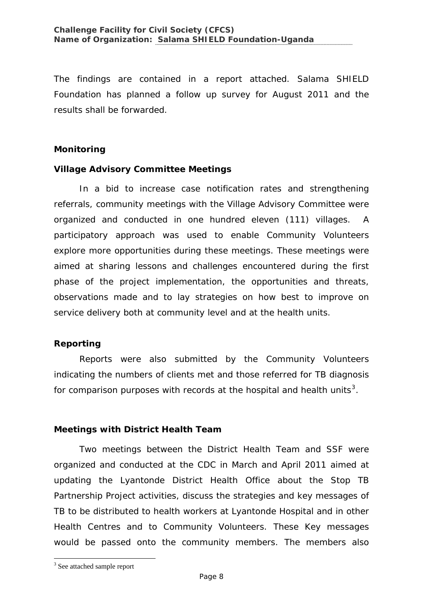The findings are contained in a report attached. Salama SHIELD Foundation has planned a follow up survey for August 2011 and the results shall be forwarded.

# **Monitoring**

# **Village Advisory Committee Meetings**

In a bid to increase case notification rates and strengthening referrals, community meetings with the Village Advisory Committee were organized and conducted in one hundred eleven (111) villages. A participatory approach was used to enable Community Volunteers explore more opportunities during these meetings. These meetings were aimed at sharing lessons and challenges encountered during the first phase of the project implementation, the opportunities and threats, observations made and to lay strategies on how best to improve on service delivery both at community level and at the health units.

# **Reporting**

Reports were also submitted by the Community Volunteers indicating the numbers of clients met and those referred for TB diagnosis for comparison purposes with records at the hospital and health units<sup>[3](#page-7-0)</sup>.

# **Meetings with District Health Team**

Two meetings between the District Health Team and SSF were organized and conducted at the CDC in March and April 2011 aimed at updating the Lyantonde District Health Office about the Stop TB Partnership Project activities, discuss the strategies and key messages of TB to be distributed to health workers at Lyantonde Hospital and in other Health Centres and to Community Volunteers. These Key messages would be passed onto the community members. The members also

<span id="page-7-0"></span><sup>&</sup>lt;sup>3</sup> See attached sample report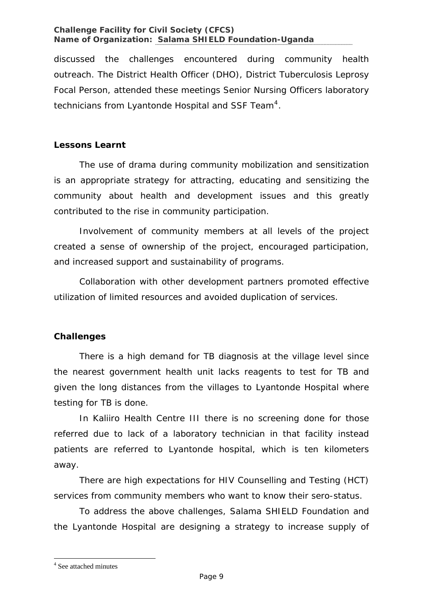discussed the challenges encountered during community health outreach. The District Health Officer (DHO), District Tuberculosis Leprosy Focal Person, attended these meetings Senior Nursing Officers laboratory technicians from Lyantonde Hospital and SSF Team<sup>[4](#page-8-0)</sup>.

# **Lessons Learnt**

The use of drama during community mobilization and sensitization is an appropriate strategy for attracting, educating and sensitizing the community about health and development issues and this greatly contributed to the rise in community participation.

Involvement of community members at all levels of the project created a sense of ownership of the project, encouraged participation, and increased support and sustainability of programs.

Collaboration with other development partners promoted effective utilization of limited resources and avoided duplication of services.

# **Challenges**

There is a high demand for TB diagnosis at the village level since the nearest government health unit lacks reagents to test for TB and given the long distances from the villages to Lyantonde Hospital where testing for TB is done.

In Kaliiro Health Centre III there is no screening done for those referred due to lack of a laboratory technician in that facility instead patients are referred to Lyantonde hospital, which is ten kilometers away.

There are high expectations for HIV Counselling and Testing (HCT) services from community members who want to know their sero-status.

<span id="page-8-0"></span>To address the above challenges, Salama SHIELD Foundation and the Lyantonde Hospital are designing a strategy to increase supply of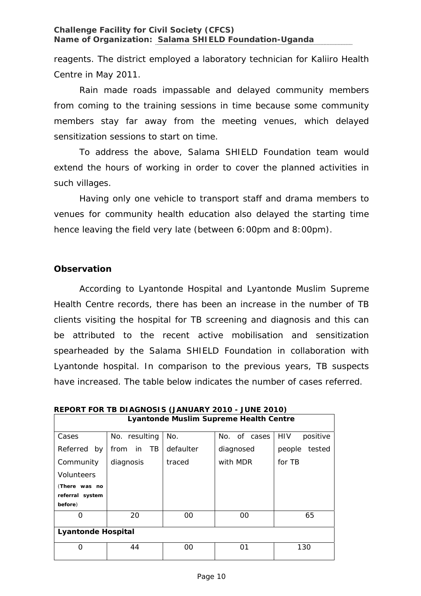reagents. The district employed a laboratory technician for Kaliiro Health Centre in May 2011.

Rain made roads impassable and delayed community members from coming to the training sessions in time because some community members stay far away from the meeting venues, which delayed sensitization sessions to start on time.

To address the above, Salama SHIELD Foundation team would extend the hours of working in order to cover the planned activities in such villages.

Having only one vehicle to transport staff and drama members to venues for community health education also delayed the starting time hence leaving the field very late (between 6:00pm and 8:00pm).

# **Observation**

According to Lyantonde Hospital and Lyantonde Muslim Supreme Health Centre records, there has been an increase in the number of TB clients visiting the hospital for TB screening and diagnosis and this can be attributed to the recent active mobilisation and sensitization spearheaded by the *Salama* SHIELD Foundation in collaboration with Lyantonde hospital. In comparison to the previous years, TB suspects have increased. The table below indicates the number of cases referred.

| <b>Lyantonde Muslim Supreme Health Centre</b> |                   |           |              |                  |
|-----------------------------------------------|-------------------|-----------|--------------|------------------|
| Cases                                         | No. resulting     | No.       | No. of cases | HIV<br>positive  |
| Referred<br>by                                | TB.<br>in<br>from | defaulter | diagnosed    | tested<br>people |
| Community                                     | diagnosis         | traced    | with MDR     | for TB           |
| Volunteers                                    |                   |           |              |                  |
| (There was no                                 |                   |           |              |                  |
| referral system                               |                   |           |              |                  |
| before)                                       |                   |           |              |                  |
| O                                             | 20                | $00 \,$   | 00           | 65               |
| <b>Lyantonde Hospital</b>                     |                   |           |              |                  |
| Ω                                             | 44                | 00        | 01           | 130              |

**REPORT FOR TB DIAGNOSIS (JANUARY 2010 - JUNE 2010)**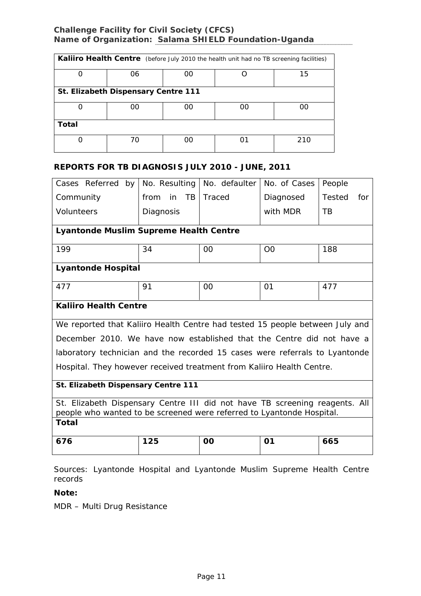| Kaliiro Health Centre (before July 2010 the health unit had no TB screening facilities) |                                     |    |    |     |  |  |
|-----------------------------------------------------------------------------------------|-------------------------------------|----|----|-----|--|--|
|                                                                                         | 06                                  | 00 |    | 15  |  |  |
|                                                                                         | St. Elizabeth Dispensary Centre 111 |    |    |     |  |  |
|                                                                                         | იი                                  | იი | ∩∩ | ററ  |  |  |
| Total                                                                                   |                                     |    |    |     |  |  |
|                                                                                         | 70                                  | OΟ | ດ1 | 210 |  |  |

#### **REPORTS FOR TB DIAGNOSIS JULY 2010 - JUNE, 2011**

| Cases Referred by                                                            | No. Resulting           | No. defaulter | No. of Cases   | People               |  |
|------------------------------------------------------------------------------|-------------------------|---------------|----------------|----------------------|--|
| Community                                                                    | in<br><b>TB</b><br>from | Traced        | Diagnosed      | <b>Tested</b><br>for |  |
| <b>Volunteers</b>                                                            | Diagnosis               |               | with MDR       | TB                   |  |
| Lyantonde Muslim Supreme Health Centre                                       |                         |               |                |                      |  |
| 199                                                                          | 34                      | 00            | O <sub>O</sub> | 188                  |  |
| <b>Lyantonde Hospital</b>                                                    |                         |               |                |                      |  |
| 477                                                                          | 91                      | 00            | 01             | 477                  |  |
| <b>Kaliiro Health Centre</b>                                                 |                         |               |                |                      |  |
| We reported that Kaliiro Health Centre had tested 15 people between July and |                         |               |                |                      |  |
| December 2010. We have now established that the Centre did not have a        |                         |               |                |                      |  |
| laboratory technician and the recorded 15 cases were referrals to Lyantonde  |                         |               |                |                      |  |
| Hospital. They however received treatment from Kaliiro Health Centre.        |                         |               |                |                      |  |
| St. Elizabeth Dispensary Centre 111                                          |                         |               |                |                      |  |
| St. Elizabeth Dispensary Centre III did not have TB screening reagents. All  |                         |               |                |                      |  |
| people who wanted to be screened were referred to Lyantonde Hospital.        |                         |               |                |                      |  |
| Total                                                                        |                         |               |                |                      |  |
| 676                                                                          | 125                     | <b>OO</b>     | 01             | 665                  |  |

Sources: Lyantonde Hospital and Lyantonde Muslim Supreme Health Centre records

#### **Note:**

MDR – Multi Drug Resistance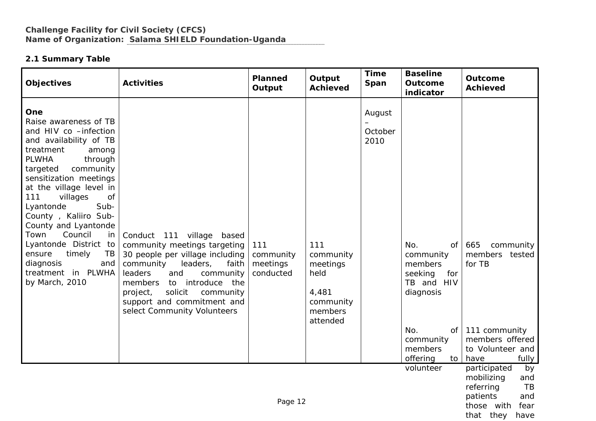## **2.1 Summary Table**

| <b>Objectives</b>                                                                                                                                                                                                                                                                                                                                                                                                                                    | <b>Activities</b>                                                                                                                                                                                                                                                                                | <b>Planned</b><br>Output                  | Output<br><b>Achieved</b>                                                         | <b>Time</b><br>Span                                                                             | <b>Baseline</b><br>Outcome<br>indicator                                                                                               | <b>Outcome</b><br><b>Achieved</b>                                                                                     |
|------------------------------------------------------------------------------------------------------------------------------------------------------------------------------------------------------------------------------------------------------------------------------------------------------------------------------------------------------------------------------------------------------------------------------------------------------|--------------------------------------------------------------------------------------------------------------------------------------------------------------------------------------------------------------------------------------------------------------------------------------------------|-------------------------------------------|-----------------------------------------------------------------------------------|-------------------------------------------------------------------------------------------------|---------------------------------------------------------------------------------------------------------------------------------------|-----------------------------------------------------------------------------------------------------------------------|
| One<br>Raise awareness of TB<br>and HIV co -infection<br>and availability of TB<br>treatment<br>among<br><b>PLWHA</b><br>through<br>community<br>targeted<br>sensitization meetings<br>at the village level in<br>villages<br>111<br>of<br>Lyantonde<br>Sub-<br>County, Kaliiro Sub-<br>County and Lyantonde<br>Council<br>Town<br>in<br>Lyantonde District to<br>ensure<br>timely<br>TB<br>diagnosis<br>and<br>treatment in PLWHA<br>by March, 2010 | Conduct 111 village based<br>community meetings targeting<br>30 people per village including<br>community<br>leaders,<br>faith<br>leaders<br>and<br>community<br>members<br>introduce the<br>to<br>solicit<br>project,<br>community<br>support and commitment and<br>select Community Volunteers | 111<br>community<br>meetings<br>conducted | 111<br>community<br>meetings<br>held<br>4,481<br>community<br>members<br>attended | August<br>October<br>2010                                                                       | No.<br>0f<br>community<br>members<br>seeking<br>for<br>TB and HIV<br>diagnosis<br>No.<br>0f<br>community<br>members<br>offering<br>to | 665<br>community<br>members tested<br>for TB<br>111 community<br>members offered<br>to Volunteer and<br>have<br>fully |
| volunteer<br>referring<br>patients<br>Page 12                                                                                                                                                                                                                                                                                                                                                                                                        |                                                                                                                                                                                                                                                                                                  |                                           |                                                                                   | participated<br>by<br>mobilizing<br>and<br>TB<br>and<br>those with<br>fear<br>that they<br>have |                                                                                                                                       |                                                                                                                       |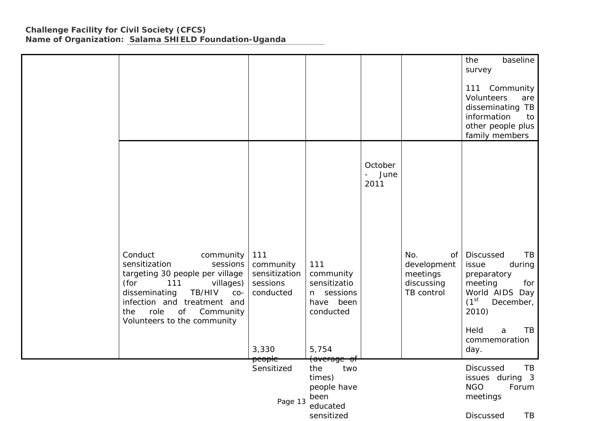|                                                                                                                                                                                                                                                      |                                                                     |                                                                                   |                         |                                                                  | the<br>baseline<br>survey<br>111 Community<br>Volunteers<br>are<br>disseminating TB<br>information<br>to<br>other people plus<br>family members                               |
|------------------------------------------------------------------------------------------------------------------------------------------------------------------------------------------------------------------------------------------------------|---------------------------------------------------------------------|-----------------------------------------------------------------------------------|-------------------------|------------------------------------------------------------------|-------------------------------------------------------------------------------------------------------------------------------------------------------------------------------|
|                                                                                                                                                                                                                                                      |                                                                     |                                                                                   | October<br>June<br>2011 |                                                                  |                                                                                                                                                                               |
| Conduct<br>community<br>sensitization<br>sessions<br>targeting 30 people per village<br>(for<br>villages)<br>111<br>TB/HIV<br>disseminating<br>$CO-$<br>infection and treatment and<br>role<br>Community<br>the<br>of<br>Volunteers to the community | 111<br>community<br>sensitization<br>sessions<br>conducted<br>3,330 | 111<br>community<br>sensitizatio<br>n sessions<br>have been<br>conducted<br>5,754 |                         | No.<br>of<br>development<br>meetings<br>discussing<br>TB control | Discussed<br>TB<br>issue<br>during<br>preparatory<br>meeting<br>for<br>World AIDS Day<br>(1 <sup>st</sup> )<br>December,<br>2010)<br>Held<br>TB<br>a<br>commemoration<br>day. |
|                                                                                                                                                                                                                                                      | <del>people.</del><br>Sensitized<br>Page 13                         | <del>(average of</del><br>two<br>the<br>times)<br>people have<br>been<br>educated |                         |                                                                  | Discussed<br>TB<br>issues during 3<br><b>NGO</b><br>Forum<br>meetings                                                                                                         |
|                                                                                                                                                                                                                                                      |                                                                     | sensitized                                                                        |                         |                                                                  | TR.<br>Discussed                                                                                                                                                              |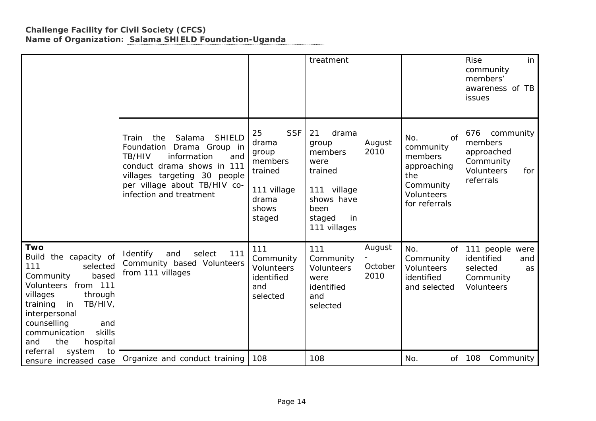|                                                                                                                                                                                                                                                                       |                                                                                                                                                                                                                               |                                                                                                     | treatment                                                                                                               |                           |                                                                                                     | <b>Rise</b><br>in<br>community<br>members'<br>awareness of TB<br>issues                  |
|-----------------------------------------------------------------------------------------------------------------------------------------------------------------------------------------------------------------------------------------------------------------------|-------------------------------------------------------------------------------------------------------------------------------------------------------------------------------------------------------------------------------|-----------------------------------------------------------------------------------------------------|-------------------------------------------------------------------------------------------------------------------------|---------------------------|-----------------------------------------------------------------------------------------------------|------------------------------------------------------------------------------------------|
|                                                                                                                                                                                                                                                                       | <b>SHIELD</b><br>the<br>Salama<br>Train<br>Foundation Drama Group in<br>TB/HIV<br>information<br>and<br>conduct drama shows in 111<br>villages targeting 30 people<br>per village about TB/HIV co-<br>infection and treatment | <b>SSF</b><br>25<br>drama<br>group<br>members<br>trained<br>111 village<br>drama<br>shows<br>staged | 21<br>drama<br>group<br>members<br>were<br>trained<br>111 village<br>shows have<br>been<br>staged<br>in<br>111 villages | August<br>2010            | of<br>No.<br>community<br>members<br>approaching<br>the<br>Community<br>Volunteers<br>for referrals | 676<br>community<br>members<br>approached<br>Community<br>Volunteers<br>for<br>referrals |
| <b>Two</b><br>Build the capacity of<br>111<br>selected<br>based<br>Community<br>Volunteers from 111<br>villages<br>through<br>in<br>TB/HIV,<br>training<br>interpersonal<br>counselling<br>and<br>skills<br>communication<br>the<br>hospital<br>and<br>referral<br>to | Identify<br>111<br>select<br>and<br>Community based Volunteers<br>from 111 villages                                                                                                                                           | 111<br>Community<br><b>Volunteers</b><br>identified<br>and<br>selected                              | 111<br>Community<br>Volunteers<br>were<br>identified<br>and<br>selected                                                 | August<br>October<br>2010 | No.<br>of<br>Community<br><b>Volunteers</b><br>identified<br>and selected                           | 111 people were<br>identified<br>and<br>selected<br>as<br>Community<br><b>Volunteers</b> |
| system<br>ensure increased case                                                                                                                                                                                                                                       | Organize and conduct training                                                                                                                                                                                                 | 108                                                                                                 | 108                                                                                                                     |                           | No.<br>of                                                                                           | 108<br>Community                                                                         |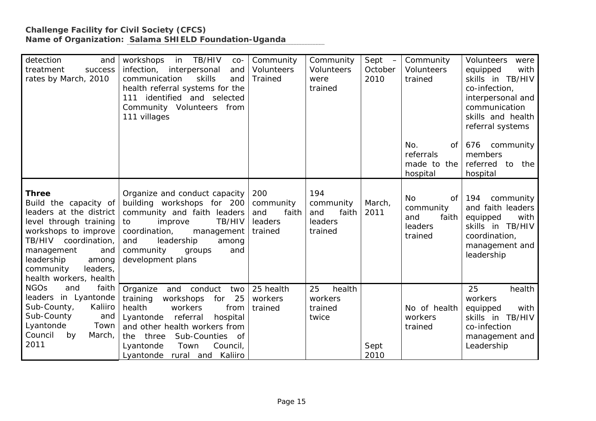| detection<br>and<br>treatment<br>success<br>rates by March, 2010                                                                                                                                                                          | in<br>TB/HIV<br>workshops<br>$CO-$<br>infection,<br>interpersonal<br>and<br>communication<br>skills<br>and<br>health referral systems for the<br>111 identified and selected<br>Community Volunteers from<br>111 villages                                                        | Community<br><b>Volunteers</b><br><b>Trained</b>       | Community<br><b>Volunteers</b><br>were<br>trained      | Sept –<br>October<br>2010 | Community<br><b>Volunteers</b><br>trained                      | Volunteers<br>were<br>equipped<br>with<br>skills in TB/HIV<br>co-infection,<br>interpersonal and<br>communication<br>skills and health<br>referral systems |
|-------------------------------------------------------------------------------------------------------------------------------------------------------------------------------------------------------------------------------------------|----------------------------------------------------------------------------------------------------------------------------------------------------------------------------------------------------------------------------------------------------------------------------------|--------------------------------------------------------|--------------------------------------------------------|---------------------------|----------------------------------------------------------------|------------------------------------------------------------------------------------------------------------------------------------------------------------|
|                                                                                                                                                                                                                                           |                                                                                                                                                                                                                                                                                  |                                                        |                                                        |                           | No.<br>of <sub>1</sub><br>referrals<br>made to the<br>hospital | 676<br>community<br>members<br>referred to<br>the<br>hospital                                                                                              |
| <b>Three</b><br>Build the capacity of<br>leaders at the district<br>level through training<br>workshops to improve<br>TB/HIV coordination,<br>management<br>and<br>leadership<br>among<br>community<br>leaders,<br>health workers, health | Organize and conduct capacity<br>building workshops for 200<br>community and faith leaders<br>TB/HIV<br>to<br>improve<br>coordination,<br>management<br>and<br>leadership<br>among<br>community<br>and<br>groups<br>development plans                                            | 200<br>community<br>and<br>faith<br>leaders<br>trained | 194<br>community<br>and<br>faith<br>leaders<br>trained | March,<br>2011            | No<br>of<br>community<br>faith<br>and<br>leaders<br>trained    | 194<br>community<br>and faith leaders<br>equipped<br>with<br>skills in TB/HIV<br>coordination,<br>management and<br>leadership                             |
| <b>NGOs</b><br>and<br>faith<br>leaders in Lyantonde<br>Sub-County,<br>Kaliiro<br>Sub-County<br>and<br>Lyantonde<br>Town<br>Council<br>by<br>March,<br>2011                                                                                | Organize<br>and<br>conduct<br>two<br>training<br>25<br>workshops<br>for<br>health<br>workers<br>from<br>referral<br>Lyantonde<br>hospital<br>and other health workers from<br>Sub-Counties of<br>three<br>the<br>Council,<br>Lyantonde<br>Town<br>rural and Kaliiro<br>Lyantonde | 25 health<br>workers<br>trained                        | health<br>25<br>workers<br>trained<br>twice            | Sept<br>2010              | No of health<br>workers<br>trained                             | 25<br>health<br>workers<br>equipped<br>with<br>skills in TB/HIV<br>co-infection<br>management and<br>Leadership                                            |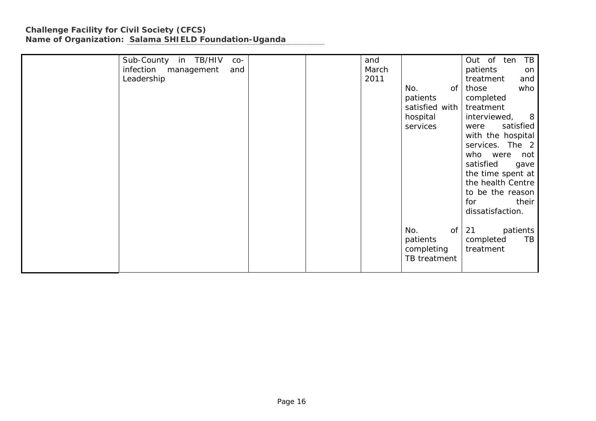| Sub-County in TB/HIV<br>$CO-$  |  | and   |                | TB<br>Out of ten   |
|--------------------------------|--|-------|----------------|--------------------|
| infection<br>management<br>and |  | March |                | patients<br>on     |
| Leadership                     |  | 2011  |                | treatment<br>and   |
|                                |  |       | No.<br>0f      | those<br>who       |
|                                |  |       | patients       | completed          |
|                                |  |       | satisfied with | treatment          |
|                                |  |       | hospital       | interviewed,<br>8  |
|                                |  |       | services       | satisfied<br>were  |
|                                |  |       |                | with the hospital  |
|                                |  |       |                | services. The 2    |
|                                |  |       |                | who<br>were<br>not |
|                                |  |       |                | satisfied<br>gave  |
|                                |  |       |                | the time spent at  |
|                                |  |       |                | the health Centre  |
|                                |  |       |                | to be the reason   |
|                                |  |       |                | for<br>their       |
|                                |  |       |                | dissatisfaction.   |
|                                |  |       |                |                    |
|                                |  |       | No.<br>of      | 21<br>patients     |
|                                |  |       | patients       | TB<br>completed    |
|                                |  |       | completing     | treatment          |
|                                |  |       | TB treatment   |                    |
|                                |  |       |                |                    |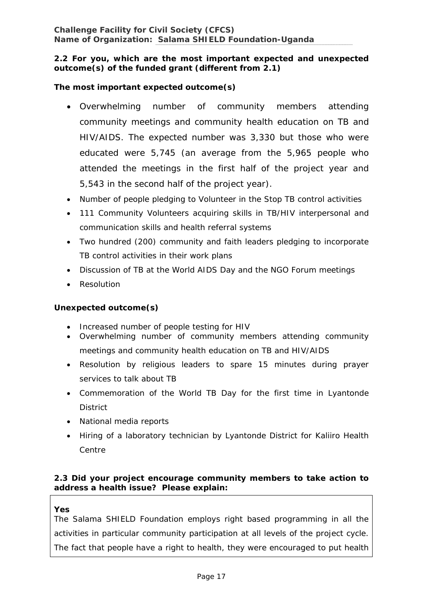### **2.2 For you, which are the most important expected and unexpected outcome(s) of the funded grant (different from 2.1)**

## **The most important expected outcome(s)**

- Overwhelming number of community members attending community meetings and community health education on TB and HIV/AIDS. The expected number was 3,330 but those who were educated were 5,745 (an average from the 5,965 people who attended the meetings in the first half of the project year and 5,543 in the second half of the project year).
- Number of people pledging to Volunteer in the Stop TB control activities
- 111 Community Volunteers acquiring skills in TB/HIV interpersonal and communication skills and health referral systems
- Two hundred (200) community and faith leaders pledging to incorporate TB control activities in their work plans
- Discussion of TB at the World AIDS Day and the NGO Forum meetings
- Resolution

### **Unexpected outcome(s)**

- Increased number of people testing for HIV
- Overwhelming number of community members attending community meetings and community health education on TB and HIV/AIDS
- Resolution by religious leaders to spare 15 minutes during prayer services to talk about TB
- Commemoration of the World TB Day for the first time in Lyantonde **District**
- National media reports
- Hiring of a laboratory technician by Lyantonde District for Kaliiro Health Centre

### **2.3 Did your project encourage community members to take action to address a health issue? Please explain:**

#### **Yes**

The S*alama* SHIELD Foundation employs right based programming in all the activities in particular community participation at all levels of the project cycle. The fact that people have a right to health, they were encouraged to put health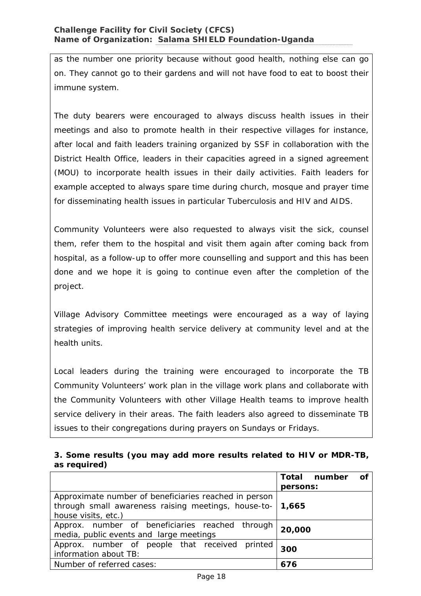as the number one priority because without good health, nothing else can go on. They cannot go to their gardens and will not have food to eat to boost their immune system.

The duty bearers were encouraged to always discuss health issues in their meetings and also to promote health in their respective villages for instance, after local and faith leaders training organized by SSF in collaboration with the District Health Office, leaders in their capacities agreed in a signed agreement (MOU) to incorporate health issues in their daily activities. Faith leaders for example accepted to always spare time during church, mosque and prayer time for disseminating health issues in particular Tuberculosis and HIV and AIDS.

Community Volunteers were also requested to always visit the sick, counsel them, refer them to the hospital and visit them again after coming back from hospital, as a follow-up to offer more counselling and support and this has been done and we hope it is going to continue even after the completion of the project.

Village Advisory Committee meetings were encouraged as a way of laying strategies of improving health service delivery at community level and at the health units.

Local leaders during the training were encouraged to incorporate the TB Community Volunteers' work plan in the village work plans and collaborate with the Community Volunteers with other Village Health teams to improve health service delivery in their areas. The faith leaders also agreed to disseminate TB issues to their congregations during prayers on Sundays or Fridays.

### **3. Some results (you may add more results related to HIV or MDR-TB, as required)**

|                                                             | Total number<br>Οf |
|-------------------------------------------------------------|--------------------|
|                                                             | persons:           |
| Approximate number of beneficiaries reached in person       |                    |
| through small awareness raising meetings, house-to-   1,665 |                    |
| house visits, etc.)                                         |                    |
| Approx. number of beneficiaries reached through             | 20,000             |
| media, public events and large meetings                     |                    |
| Approx. number of people that received printed              | 300                |
| information about TB:                                       |                    |
| Number of referred cases:                                   | 676                |
|                                                             |                    |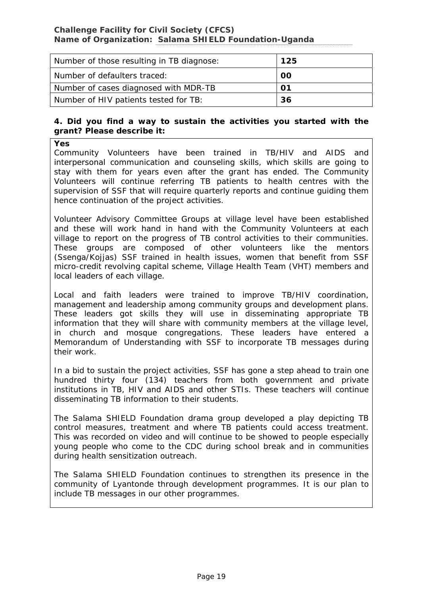| Number of those resulting in TB diagnose: | 125 |
|-------------------------------------------|-----|
| Number of defaulters traced:              | 00  |
| Number of cases diagnosed with MDR-TB     | 01  |
| Number of HIV patients tested for TB:     | 36  |

#### **4. Did you find a way to sustain the activities you started with the grant? Please describe it:**

**Yes** 

Community Volunteers have been trained in TB/HIV and AIDS and interpersonal communication and counseling skills, which skills are going to stay with them for years even after the grant has ended. The Community Volunteers will continue referring TB patients to health centres with the supervision of SSF that will require quarterly reports and continue guiding them hence continuation of the project activities.

Volunteer Advisory Committee Groups at village level have been established and these will work hand in hand with the Community Volunteers at each village to report on the progress of TB control activities to their communities. These groups are composed of other volunteers like the mentors (Ssenga/Kojjas) SSF trained in health issues, women that benefit from SSF micro-credit revolving capital scheme, Village Health Team (VHT) members and local leaders of each village.

Local and faith leaders were trained to improve TB/HIV coordination, management and leadership among community groups and development plans. These leaders got skills they will use in disseminating appropriate TB information that they will share with community members at the village level, in church and mosque congregations. These leaders have entered a Memorandum of Understanding with SSF to incorporate TB messages during their work.

In a bid to sustain the project activities, SSF has gone a step ahead to train one hundred thirty four (134) teachers from both government and private institutions in TB, HIV and AIDS and other STIs. These teachers will continue disseminating TB information to their students.

The *Salama* SHIELD Foundation drama group developed a play depicting TB control measures, treatment and where TB patients could access treatment. This was recorded on video and will continue to be showed to people especially young people who come to the CDC during school break and in communities during health sensitization outreach.

The Salama SHIELD Foundation continues to strengthen its presence in the community of Lyantonde through development programmes. It is our plan to include TB messages in our other programmes.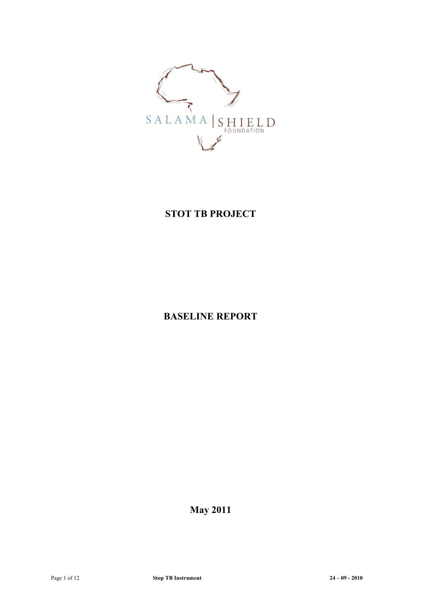

# **STOT TB PROJECT**

# **BASELINE REPORT**

**May 2011**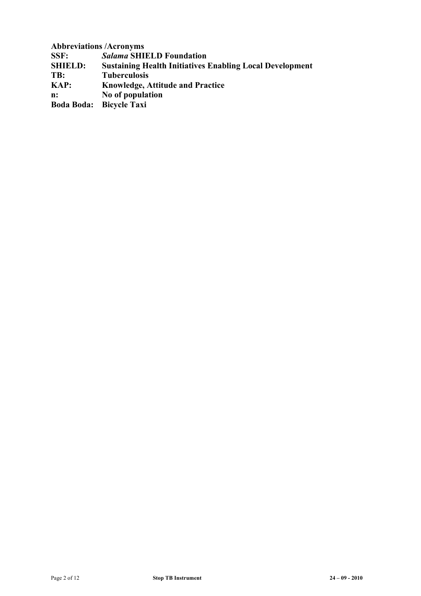**Abbreviations /Acronyms**

**SSF:** *Salama* **SHIELD Foundation**

**SHIELD:** Sustaining Health Initiatives Enabling Local Development<br> **TR:** Tuberculosis

**TB: Tuberculosis**

**KAP: Knowledge, Attitude and Practice**

**n: No of population**

**Boda Boda: Bicycle Taxi**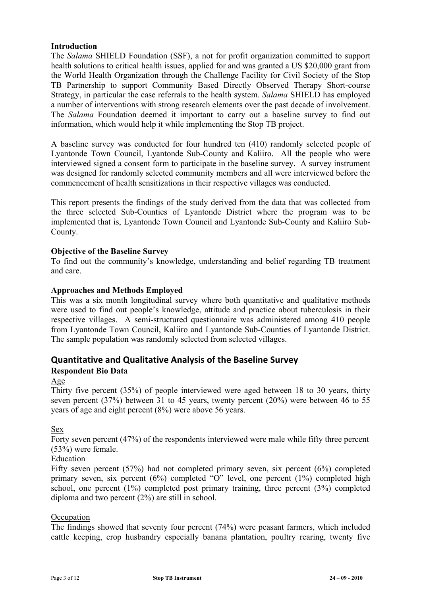#### **Introduction**

The *Salama* SHIELD Foundation (SSF), a not for profit organization committed to support health solutions to critical health issues, applied for and was granted a US \$20,000 grant from the World Health Organization through the Challenge Facility for Civil Society of the Stop TB Partnership to support Community Based Directly Observed Therapy Short-course Strategy, in particular the case referrals to the health system. *Salama* SHIELD has employed a number of interventions with strong research elements over the past decade of involvement. The *Salama* Foundation deemed it important to carry out a baseline survey to find out information, which would help it while implementing the Stop TB project.

A baseline survey was conducted for four hundred ten (410) randomly selected people of Lyantonde Town Council, Lyantonde Sub-County and Kaliiro. All the people who were interviewed signed a consent form to participate in the baseline survey. A survey instrument was designed for randomly selected community members and all were interviewed before the commencement of health sensitizations in their respective villages was conducted.

This report presents the findings of the study derived from the data that was collected from the three selected Sub-Counties of Lyantonde District where the program was to be implemented that is, Lyantonde Town Council and Lyantonde Sub-County and Kaliiro Sub-County.

#### **Objective of the Baseline Survey**

To find out the community's knowledge, understanding and belief regarding TB treatment and care.

#### **Approaches and Methods Employed**

This was a six month longitudinal survey where both quantitative and qualitative methods were used to find out people's knowledge, attitude and practice about tuberculosis in their respective villages. A semi-structured questionnaire was administered among 410 people from Lyantonde Town Council, Kaliiro and Lyantonde Sub-Counties of Lyantonde District. The sample population was randomly selected from selected villages.

### **Quantitative)and)Qualitative)Analysis)of)the)Baseline)Survey**

#### **Respondent Bio Data**

#### Age

Thirty five percent (35%) of people interviewed were aged between 18 to 30 years, thirty seven percent (37%) between 31 to 45 years, twenty percent (20%) were between 46 to 55 years of age and eight percent (8%) were above 56 years.

Sex

Forty seven percent (47%) of the respondents interviewed were male while fifty three percent (53%) were female.

#### Education

Fifty seven percent (57%) had not completed primary seven, six percent (6%) completed primary seven, six percent (6%) completed "O" level, one percent (1%) completed high school, one percent (1%) completed post primary training, three percent (3%) completed diploma and two percent (2%) are still in school.

#### **Occupation**

The findings showed that seventy four percent (74%) were peasant farmers, which included cattle keeping, crop husbandry especially banana plantation, poultry rearing, twenty five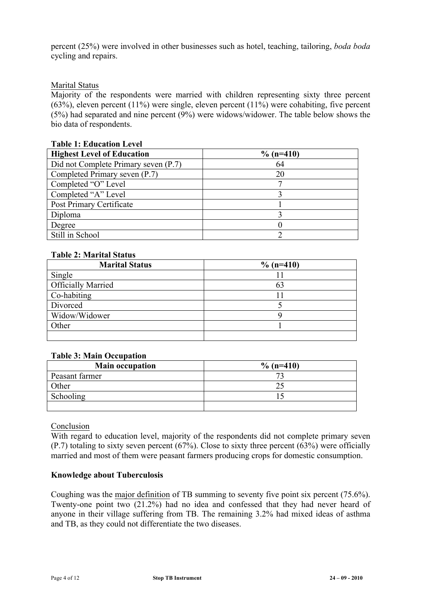percent (25%) were involved in other businesses such as hotel, teaching, tailoring, *boda boda* cycling and repairs.

### Marital Status

Majority of the respondents were married with children representing sixty three percent (63%), eleven percent (11%) were single, eleven percent (11%) were cohabiting, five percent (5%) had separated and nine percent (9%) were widows/widower. The table below shows the bio data of respondents.

| тарк т. ечисанон естег               |              |
|--------------------------------------|--------------|
| <b>Highest Level of Education</b>    | $\%$ (n=410) |
| Did not Complete Primary seven (P.7) | 64           |
| Completed Primary seven (P.7)        | 20           |
| Completed "O" Level                  |              |
| Completed "A" Level                  |              |
| Post Primary Certificate             |              |
| Diploma                              |              |
| Degree                               |              |
| Still in School                      |              |

## **Table 1: Education Level**

### **Table 2: Marital Status**

| <b>Marital Status</b>     | $\%$ (n=410) |
|---------------------------|--------------|
| Single                    |              |
| <b>Officially Married</b> | 63           |
| Co-habiting               |              |
| Divorced                  |              |
| Widow/Widower             |              |
| Other                     |              |
|                           |              |

### **Table 3: Main Occupation**

| <b>Main occupation</b> | $\%$ (n=410) |
|------------------------|--------------|
| Peasant farmer         |              |
| Other                  |              |
| Schooling              |              |
|                        |              |

#### Conclusion

With regard to education level, majority of the respondents did not complete primary seven (P.7) totaling to sixty seven percent (67%). Close to sixty three percent (63%) were officially married and most of them were peasant farmers producing crops for domestic consumption.

#### **Knowledge about Tuberculosis**

Coughing was the major definition of TB summing to seventy five point six percent (75.6%). Twenty-one point two (21.2%) had no idea and confessed that they had never heard of anyone in their village suffering from TB. The remaining 3.2% had mixed ideas of asthma and TB, as they could not differentiate the two diseases.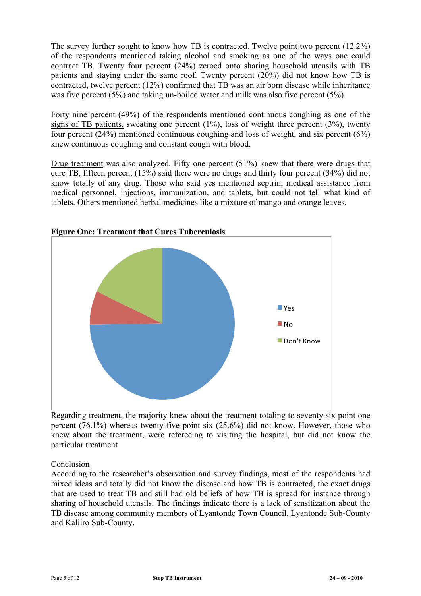The survey further sought to know how TB is contracted. Twelve point two percent (12.2%) of the respondents mentioned taking alcohol and smoking as one of the ways one could contract TB. Twenty four percent (24%) zeroed onto sharing household utensils with TB patients and staying under the same roof. Twenty percent (20%) did not know how TB is contracted, twelve percent (12%) confirmed that TB was an air born disease while inheritance was five percent (5%) and taking un-boiled water and milk was also five percent (5%).

Forty nine percent (49%) of the respondents mentioned continuous coughing as one of the signs of TB patients, sweating one percent  $(1\%)$ , loss of weight three percent  $(3\%)$ , twenty four percent (24%) mentioned continuous coughing and loss of weight, and six percent (6%) knew continuous coughing and constant cough with blood.

Drug treatment was also analyzed. Fifty one percent (51%) knew that there were drugs that cure TB, fifteen percent (15%) said there were no drugs and thirty four percent (34%) did not know totally of any drug. Those who said yes mentioned septrin, medical assistance from medical personnel, injections, immunization, and tablets, but could not tell what kind of tablets. Others mentioned herbal medicines like a mixture of mango and orange leaves.



### **Figure One: Treatment that Cures Tuberculosis**

Regarding treatment, the majority knew about the treatment totaling to seventy six point one percent (76.1%) whereas twenty-five point six (25.6%) did not know. However, those who knew about the treatment, were refereeing to visiting the hospital, but did not know the particular treatment

Conclusion

According to the researcher's observation and survey findings, most of the respondents had mixed ideas and totally did not know the disease and how TB is contracted, the exact drugs that are used to treat TB and still had old beliefs of how TB is spread for instance through sharing of household utensils. The findings indicate there is a lack of sensitization about the TB disease among community members of Lyantonde Town Council, Lyantonde Sub-County and Kaliiro Sub-County.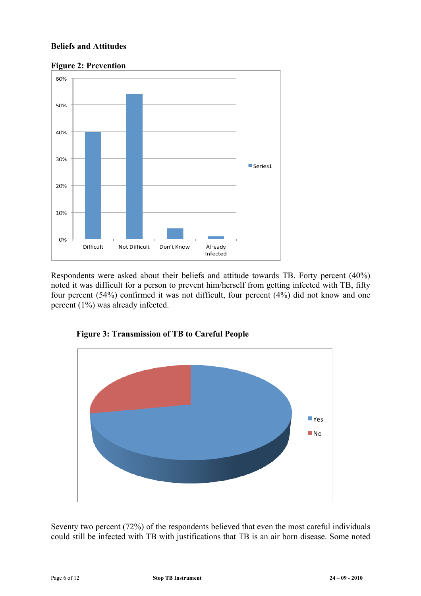### **Beliefs and Attitudes**



Respondents were asked about their beliefs and attitude towards TB. Forty percent (40%) noted it was difficult for a person to prevent him/herself from getting infected with TB, fifty four percent (54%) confirmed it was not difficult, four percent (4%) did not know and one percent (1%) was already infected.



**Figure 3: Transmission of TB to Careful People**

Seventy two percent (72%) of the respondents believed that even the most careful individuals could still be infected with TB with justifications that TB is an air born disease. Some noted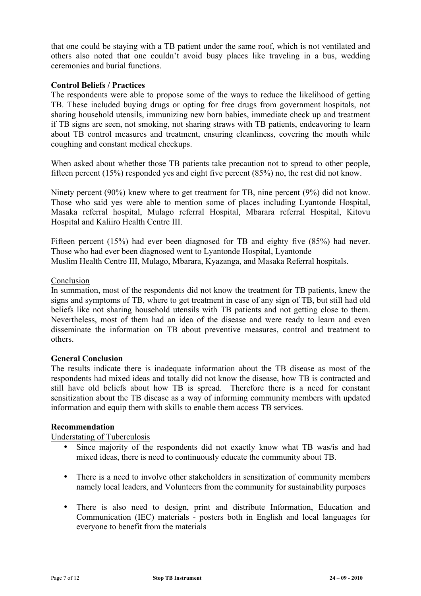that one could be staying with a TB patient under the same roof, which is not ventilated and others also noted that one couldn't avoid busy places like traveling in a bus, wedding ceremonies and burial functions.

#### **Control Beliefs / Practices**

The respondents were able to propose some of the ways to reduce the likelihood of getting TB. These included buying drugs or opting for free drugs from government hospitals, not sharing household utensils, immunizing new born babies, immediate check up and treatment if TB signs are seen, not smoking, not sharing straws with TB patients, endeavoring to learn about TB control measures and treatment, ensuring cleanliness, covering the mouth while coughing and constant medical checkups.

When asked about whether those TB patients take precaution not to spread to other people, fifteen percent (15%) responded yes and eight five percent (85%) no, the rest did not know.

Ninety percent (90%) knew where to get treatment for TB, nine percent (9%) did not know. Those who said yes were able to mention some of places including Lyantonde Hospital, Masaka referral hospital, Mulago referral Hospital, Mbarara referral Hospital, Kitovu Hospital and Kaliiro Health Centre III.

Fifteen percent (15%) had ever been diagnosed for TB and eighty five (85%) had never. Those who had ever been diagnosed went to Lyantonde Hospital, Lyantonde Muslim Health Centre III, Mulago, Mbarara, Kyazanga, and Masaka Referral hospitals.

#### Conclusion

In summation, most of the respondents did not know the treatment for TB patients, knew the signs and symptoms of TB, where to get treatment in case of any sign of TB, but still had old beliefs like not sharing household utensils with TB patients and not getting close to them. Nevertheless, most of them had an idea of the disease and were ready to learn and even disseminate the information on TB about preventive measures, control and treatment to others.

#### **General Conclusion**

The results indicate there is inadequate information about the TB disease as most of the respondents had mixed ideas and totally did not know the disease, how TB is contracted and still have old beliefs about how TB is spread. Therefore there is a need for constant sensitization about the TB disease as a way of informing community members with updated information and equip them with skills to enable them access TB services.

#### **Recommendation**

Understating of Tuberculosis

- Since majority of the respondents did not exactly know what TB was/is and had mixed ideas, there is need to continuously educate the community about TB.
- There is a need to involve other stakeholders in sensitization of community members namely local leaders, and Volunteers from the community for sustainability purposes
- There is also need to design, print and distribute Information, Education and Communication (IEC) materials - posters both in English and local languages for everyone to benefit from the materials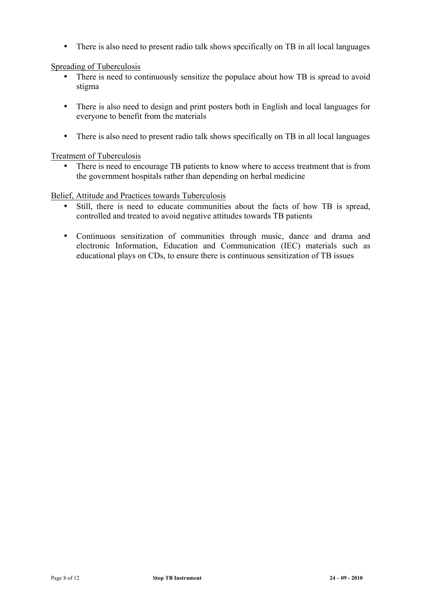• There is also need to present radio talk shows specifically on TB in all local languages

#### Spreading of Tuberculosis

- There is need to continuously sensitize the populace about how TB is spread to avoid stigma
- There is also need to design and print posters both in English and local languages for everyone to benefit from the materials
- There is also need to present radio talk shows specifically on TB in all local languages

#### Treatment of Tuberculosis

There is need to encourage TB patients to know where to access treatment that is from the government hospitals rather than depending on herbal medicine

#### Belief, Attitude and Practices towards Tuberculosis

- Still, there is need to educate communities about the facts of how TB is spread, controlled and treated to avoid negative attitudes towards TB patients
- Continuous sensitization of communities through music, dance and drama and electronic Information, Education and Communication (IEC) materials such as educational plays on CDs, to ensure there is continuous sensitization of TB issues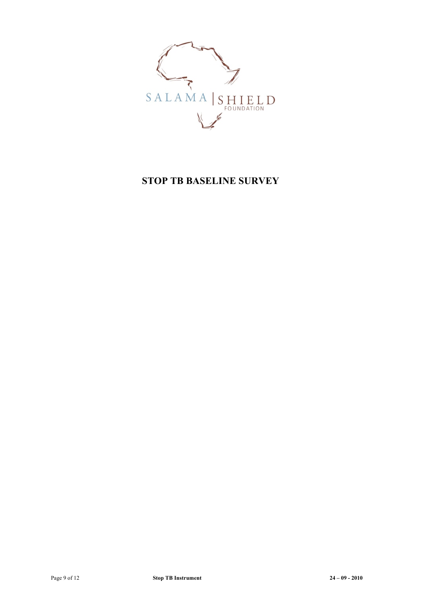

# **STOP TB BASELINE SURVEY**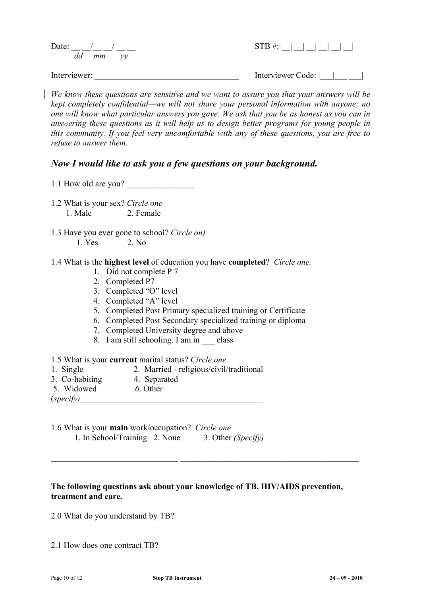|              | Date: $/$ / |          |  | $STB #:$ $\Box$   |
|--------------|-------------|----------|--|-------------------|
|              |             | dd mm yy |  |                   |
| Interviewer: |             |          |  | Interviewer Code: |

*We know these questions are sensitive and we want to assure you that your answers will be kept completely confidential—we will not share your personal information with anyone; no one will know what particular answers you gave. We ask that you be as honest as you can in answering these questions as it will help us to design better programs for young people in this community. If you feel very uncomfortable with any of these questions, you are free to refuse to answer them.*

## *Now I would like to ask you a few questions on your background.*

1.1 How old are you?

- 1.2 What is your sex? *Circle one* 1. Male 2. Female
- 1.3 Have you ever gone to school? *Circle on)* 1. Yes 2. No
- 1.4 What is the **highest level** of education you have **completed**? *Circle one.*
	- 1. Did not complete P 7
	- 2. Completed P7
	- 3. Completed "O" level
	- 4. Completed "A" level
	- 5. Completed Post Primary specialized training or Certificate
	- 6. Completed Post Secondary specialized training or diploma
	- 7. Completed University degree and above
	- 8. I am still schooling. I am in class
- 1.5 What is your **current** marital status? *Circle one*
- 1. Single 2. Married religious/civil/traditional
- 3. Co-habiting 4. Separated
- 5. Widowed *6*. Other
- $(specify)$
- 1.6 What is your **main** work/occupation? *Circle one* 1. In School/Training 2. None 3. Other *(Specify)*

## **The following questions ask about your knowledge of TB, HIV/AIDS prevention, treatment and care.**

*\_\_\_\_\_\_\_\_\_\_\_\_\_\_\_\_\_\_\_\_\_\_\_\_\_\_\_\_\_\_* \_\_\_\_\_\_\_\_\_\_\_\_\_\_\_\_\_\_\_\_\_\_\_\_\_\_\_\_\_\_\_\_\_\_\_\_\_\_\_\_\_\_

2.0 What do you understand by TB?

2.1 How does one contract TB?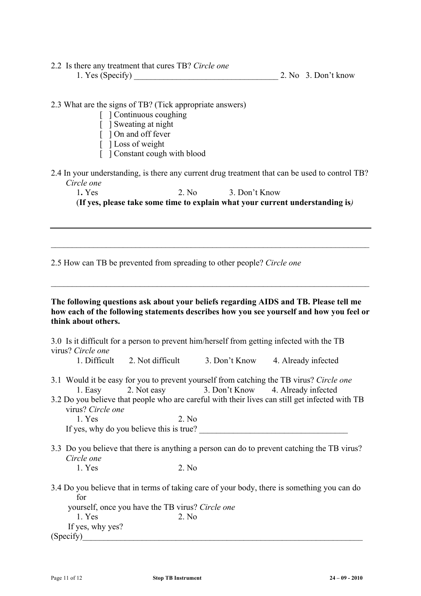2.2 Is there any treatment that cures TB? *Circle one* 1. Yes (Specify)  $2. No. 3. Don't know$ 

2.3 What are the signs of TB? (Tick appropriate answers)

- [ ] Continuous coughing
- [ ] Sweating at night
- [ ] On and off fever
- [ ] Loss of weight
- [ ] Constant cough with blood
- 2.4 In your understanding, is there any current drug treatment that can be used to control TB?  *Circle one*

1**.** Yes 2. No 3. Don't Know

(**If yes, please take some time to explain what your current understanding is***)*

 $\mathcal{L}_\mathcal{L} = \{ \mathcal{L}_\mathcal{L} = \{ \mathcal{L}_\mathcal{L} = \{ \mathcal{L}_\mathcal{L} = \{ \mathcal{L}_\mathcal{L} = \{ \mathcal{L}_\mathcal{L} = \{ \mathcal{L}_\mathcal{L} = \{ \mathcal{L}_\mathcal{L} = \{ \mathcal{L}_\mathcal{L} = \{ \mathcal{L}_\mathcal{L} = \{ \mathcal{L}_\mathcal{L} = \{ \mathcal{L}_\mathcal{L} = \{ \mathcal{L}_\mathcal{L} = \{ \mathcal{L}_\mathcal{L} = \{ \mathcal{L}_\mathcal{$ 

2.5 How can TB be prevented from spreading to other people? *Circle one*

**The following questions ask about your beliefs regarding AIDS and TB. Please tell me how each of the following statements describes how you see yourself and how you feel or think about others.** 

| virus? Circle one                                                                                         |                                                                 |  | 3.0 Is it difficult for a person to prevent him/herself from getting infected with the TB                                                                                                 |  |
|-----------------------------------------------------------------------------------------------------------|-----------------------------------------------------------------|--|-------------------------------------------------------------------------------------------------------------------------------------------------------------------------------------------|--|
|                                                                                                           | 1. Difficult 2. Not difficult 3. Don't Know 4. Already infected |  |                                                                                                                                                                                           |  |
|                                                                                                           | 1. Easy 2. Not easy 3. Don't Know 4. Already infected           |  | 3.1 Would it be easy for you to prevent yourself from catching the TB virus? Circle one<br>3.2 Do you believe that people who are careful with their lives can still get infected with TB |  |
| virus? Circle one                                                                                         |                                                                 |  |                                                                                                                                                                                           |  |
| 1. Yes                                                                                                    | 2. No                                                           |  |                                                                                                                                                                                           |  |
|                                                                                                           | If yes, why do you believe this is true?                        |  |                                                                                                                                                                                           |  |
| 3.3 Do you believe that there is anything a person can do to prevent catching the TB virus?<br>Circle one |                                                                 |  |                                                                                                                                                                                           |  |
| 1. Yes                                                                                                    | 2. No                                                           |  |                                                                                                                                                                                           |  |
| for<br>1. Yes<br>If yes, why yes?                                                                         | yourself, once you have the TB virus? Circle one<br>2. No       |  | 3.4 Do you believe that in terms of taking care of your body, there is something you can do                                                                                               |  |
| (Specify)                                                                                                 |                                                                 |  |                                                                                                                                                                                           |  |